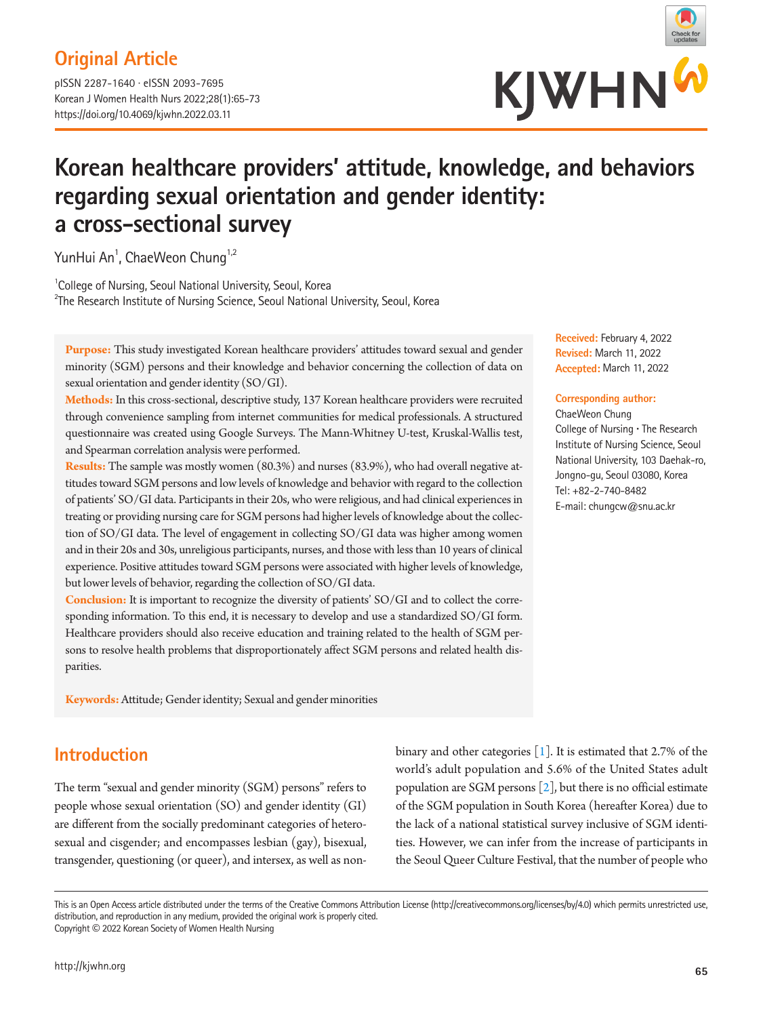# **Original Article**

pISSN 2287-1640 · eISSN 2093-7695 Korean J Women Health Nurs 2022;28(1):65-73 https://doi.org/10.4069/kjwhn.2022.03.11



# **Korean healthcare providers' attitude, knowledge, and behaviors regarding sexual orientation and gender identity: a cross-sectional survey**

YunHui An<sup>1</sup>, ChaeWeon Chung<sup>1,2</sup>

<sup>1</sup>College of Nursing, Seoul National University, Seoul, Korea <sup>2</sup>The Research Institute of Nursing Science, Seoul National University, Seoul, Korea

**Purpose:** This study investigated Korean healthcare providers' attitudes toward sexual and gender minority (SGM) persons and their knowledge and behavior concerning the collection of data on sexual orientation and gender identity (SO/GI).

**Methods:** In this cross-sectional, descriptive study, 137 Korean healthcare providers were recruited through convenience sampling from internet communities for medical professionals. A structured questionnaire was created using Google Surveys. The Mann-Whitney U-test, Kruskal-Wallis test, and Spearman correlation analysis were performed.

**Results:** The sample was mostly women (80.3%) and nurses (83.9%), who had overall negative attitudes toward SGM persons and low levels of knowledge and behavior with regard to the collection of patients' SO/GI data. Participants in their 20s, who were religious, and had clinical experiences in treating or providing nursing care for SGM persons had higher levels of knowledge about the collection of SO/GI data. The level of engagement in collecting SO/GI data was higher among women and in their 20s and 30s, unreligious participants, nurses, and those with less than 10 years of clinical experience. Positive attitudes toward SGM persons were associated with higher levels of knowledge, but lower levels of behavior, regarding the collection of SO/GI data.

**Conclusion:** It is important to recognize the diversity of patients' SO/GI and to collect the corresponding information. To this end, it is necessary to develop and use a standardized SO/GI form. Healthcare providers should also receive education and training related to the health of SGM persons to resolve health problems that disproportionately affect SGM persons and related health disparities.

**Keywords:** Attitude; Gender identity; Sexual and gender minorities

# **Introduction**

The term "sexual and gender minority (SGM) persons" refers to people whose sexual orientation (SO) and gender identity (GI) are different from the socially predominant categories of heterosexual and cisgender; and encompasses lesbian (gay), bisexual, transgender, questioning (or queer), and intersex, as well as nonbinary and other categories [\[1\]](#page-7-0). It is estimated that 2.7% of the world's adult population and 5.6% of the United States adult population are SGM persons  $[2]$ , but there is no official estimate of the SGM population in South Korea (hereafter Korea) due to the lack of a national statistical survey inclusive of SGM identities. However, we can infer from the increase of participants in the Seoul Queer Culture Festival, that the number of people who

This is an Open Access article distributed under the terms of the Creative Commons Attribution License (http://creativecommons.org/licenses/by/4.0) which permits unrestricted use, distribution, and reproduction in any medium, provided the original work is properly cited. Copyright © 2022 Korean Society of Women Health Nursing

**Received:** February 4, 2022 **Revised:** March 11, 2022 **Accepted:** March 11, 2022

#### **Corresponding author:**

ChaeWeon Chung College of Nursing **·** The Research Institute of Nursing Science, Seoul National University, 103 Daehak-ro, Jongno-gu, Seoul 03080, Korea Tel: +82-2-740-8482 E-mail: chungcw@snu.ac.kr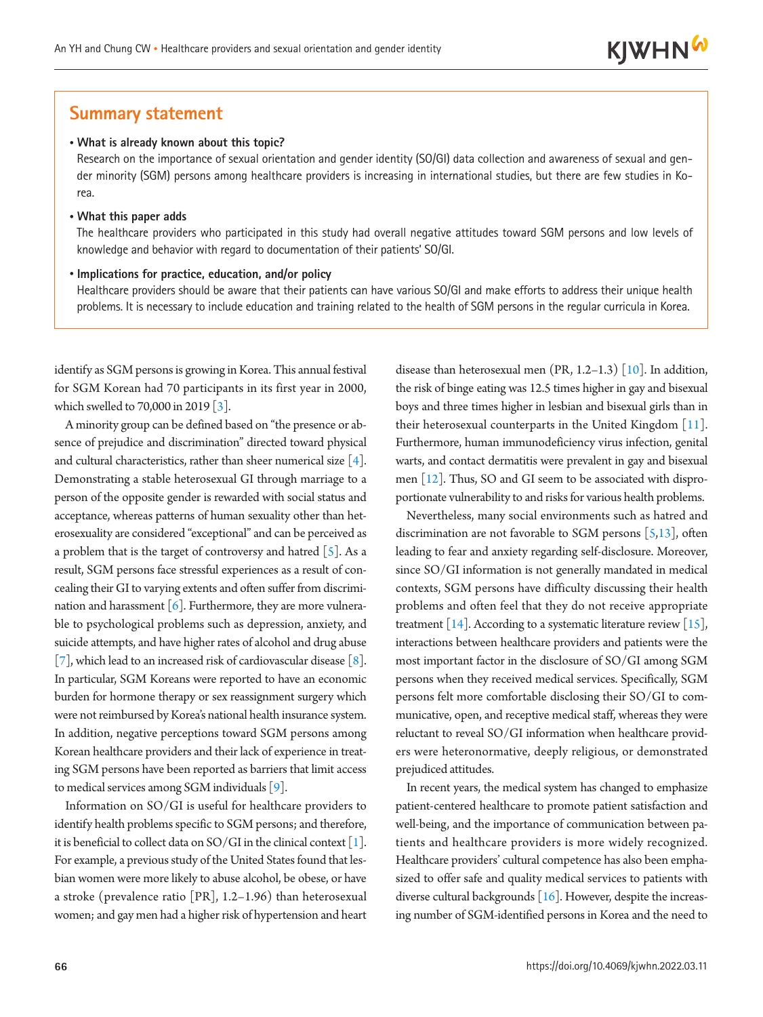### **Summary statement**

#### • **What is already known about this topic?**

Research on the importance of sexual orientation and gender identity (SO/GI) data collection and awareness of sexual and gender minority (SGM) persons among healthcare providers is increasing in international studies, but there are few studies in Korea.

#### • **What this paper adds**

The healthcare providers who participated in this study had overall negative attitudes toward SGM persons and low levels of knowledge and behavior with regard to documentation of their patients' SO/GI.

#### • **Implications for practice, education, and/or policy**

Healthcare providers should be aware that their patients can have various SO/GI and make efforts to address their unique health problems. It is necessary to include education and training related to the health of SGM persons in the regular curricula in Korea.

identify as SGM persons is growing in Korea. This annual festival for SGM Korean had 70 participants in its first year in 2000, which swelled to 70,000 in 2019 [\[3](#page-7-2)].

A minority group can be defined based on "the presence or absence of prejudice and discrimination" directed toward physical and cultural characteristics, rather than sheer numerical size  $[4]$  $[4]$ . Demonstrating a stable heterosexual GI through marriage to a person of the opposite gender is rewarded with social status and acceptance, whereas patterns of human sexuality other than heterosexuality are considered "exceptional" and can be perceived as a problem that is the target of controversy and hatred  $\lceil 5 \rceil$ . As a result, SGM persons face stressful experiences as a result of concealing their GI to varying extents and often suffer from discrimination and harassment  $\lceil 6 \rceil$ . Furthermore, they are more vulnerable to psychological problems such as depression, anxiety, and suicide attempts, and have higher rates of alcohol and drug abuse [\[7](#page-7-6)], which lead to an increased risk of cardiovascular disease [\[8](#page-7-7)]. In particular, SGM Koreans were reported to have an economic burden for hormone therapy or sex reassignment surgery which were not reimbursed by Korea's national health insurance system. In addition, negative perceptions toward SGM persons among Korean healthcare providers and their lack of experience in treating SGM persons have been reported as barriers that limit access to medical services among SGM individuals [\[9\]](#page-7-8).

Information on SO/GI is useful for healthcare providers to identify health problems specific to SGM persons; and therefore, it is beneficial to collect data on SO/GI in the clinical context  $[1]$  $[1]$ . For example, a previous study of the United States found that lesbian women were more likely to abuse alcohol, be obese, or have a stroke (prevalence ratio [PR], 1.2–1.96) than heterosexual women; and gay men had a higher risk of hypertension and heart

disease than heterosexual men (PR, 1.2–1.3) [\[10](#page-7-9)]. In addition, the risk of binge eating was 12.5 times higher in gay and bisexual boys and three times higher in lesbian and bisexual girls than in their heterosexual counterparts in the United Kingdom  $[11]$ . Furthermore, human immunodeficiency virus infection, genital warts, and contact dermatitis were prevalent in gay and bisexual men [\[12](#page-7-11)]. Thus, SO and GI seem to be associated with disproportionate vulnerability to and risks for various health problems.

Nevertheless, many social environments such as hatred and discrimination are not favorable to SGM persons  $[5,13]$  $[5,13]$ , often leading to fear and anxiety regarding self-disclosure. Moreover, since SO/GI information is not generally mandated in medical contexts, SGM persons have difficulty discussing their health problems and often feel that they do not receive appropriate treatment [\[14\]](#page-8-0). According to a systematic literature review [\[15\]](#page-8-1), interactions between healthcare providers and patients were the most important factor in the disclosure of SO/GI among SGM persons when they received medical services. Specifically, SGM persons felt more comfortable disclosing their SO/GI to communicative, open, and receptive medical staff, whereas they were reluctant to reveal SO/GI information when healthcare providers were heteronormative, deeply religious, or demonstrated prejudiced attitudes.

In recent years, the medical system has changed to emphasize patient-centered healthcare to promote patient satisfaction and well-being, and the importance of communication between patients and healthcare providers is more widely recognized. Healthcare providers' cultural competence has also been emphasized to offer safe and quality medical services to patients with diverse cultural backgrounds  $[16]$  $[16]$ . However, despite the increasing number of SGM-identified persons in Korea and the need to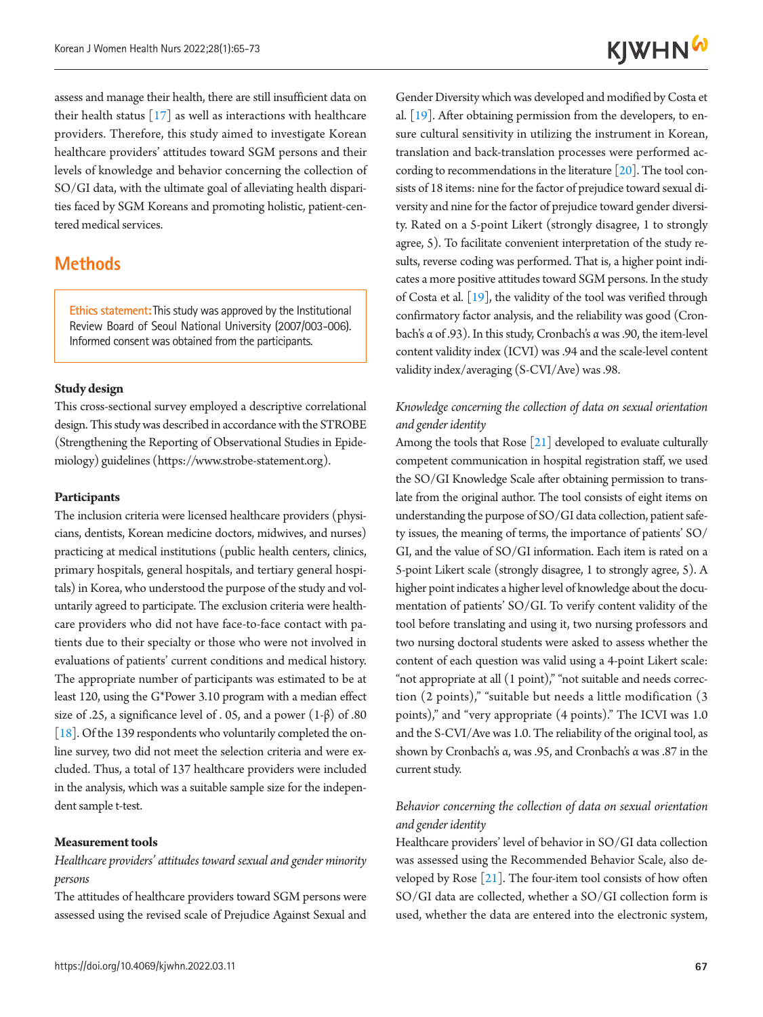assess and manage their health, there are still insufficient data on their health status  $[17]$  $[17]$  as well as interactions with healthcare providers. Therefore, this study aimed to investigate Korean healthcare providers' attitudes toward SGM persons and their levels of knowledge and behavior concerning the collection of SO/GI data, with the ultimate goal of alleviating health disparities faced by SGM Koreans and promoting holistic, patient-centered medical services.

## **Methods**

**Ethics statement:**This study was approved by the Institutional Review Board of Seoul National University (2007/003-006). Informed consent was obtained from the participants.

#### **Study design**

This cross-sectional survey employed a descriptive correlational design. This study was described in accordance with the STROBE (Strengthening the Reporting of Observational Studies in Epidemiology) guidelines (https:[//www.strobe-s](www.strobe-)tatement.org).

#### **Participants**

The inclusion criteria were licensed healthcare providers (physicians, dentists, Korean medicine doctors, midwives, and nurses) practicing at medical institutions (public health centers, clinics, primary hospitals, general hospitals, and tertiary general hospitals) in Korea, who understood the purpose of the study and voluntarily agreed to participate. The exclusion criteria were healthcare providers who did not have face-to-face contact with patients due to their specialty or those who were not involved in evaluations of patients' current conditions and medical history. The appropriate number of participants was estimated to be at least 120, using the G\*Power 3.10 program with a median effect size of .25, a significance level of . 05, and a power  $(1-\beta)$  of .80 [\[18](#page-8-4)]. Of the 139 respondents who voluntarily completed the online survey, two did not meet the selection criteria and were excluded. Thus, a total of 137 healthcare providers were included in the analysis, which was a suitable sample size for the independent sample t-test.

#### **Measurement tools**

#### *Healthcare providers' attitudes toward sexual and gender minority persons*

The attitudes of healthcare providers toward SGM persons were assessed using the revised scale of Prejudice Against Sexual and

Gender Diversity which was developed and modified by Costa et al. [\[19\]](#page-8-2). After obtaining permission from the developers, to ensure cultural sensitivity in utilizing the instrument in Korean, translation and back-translation processes were performed according to recommendations in the literature  $[20]$  $[20]$ . The tool consists of 18 items: nine for the factor of prejudice toward sexual diversity and nine for the factor of prejudice toward gender diversity. Rated on a 5-point Likert (strongly disagree, 1 to strongly agree, 5). To facilitate convenient interpretation of the study results, reverse coding was performed. That is, a higher point indicates a more positive attitudes toward SGM persons. In the study of Costa et al. [\[19](#page-8-2)], the validity of the tool was verified through confirmatory factor analysis, and the reliability was good (Cronbach's α of .93). In this study, Cronbach's α was .90, the item-level content validity index (ICVI) was .94 and the scale-level content validity index/averaging (S-CVI/Ave) was .98.

### *Knowledge concerning the collection of data on sexual orientation and gender identity*

Among the tools that Rose [\[21\]](#page-8-6) developed to evaluate culturally competent communication in hospital registration staff, we used the SO/GI Knowledge Scale after obtaining permission to translate from the original author. The tool consists of eight items on understanding the purpose of SO/GI data collection, patient safety issues, the meaning of terms, the importance of patients' SO/ GI, and the value of SO/GI information. Each item is rated on a 5-point Likert scale (strongly disagree, 1 to strongly agree, 5). A higher point indicates a higher level of knowledge about the documentation of patients' SO/GI. To verify content validity of the tool before translating and using it, two nursing professors and two nursing doctoral students were asked to assess whether the content of each question was valid using a 4-point Likert scale: "not appropriate at all (1 point)," "not suitable and needs correction (2 points)," "suitable but needs a little modification (3 points)," and "very appropriate (4 points)." The ICVI was 1.0 and the S-CVI/Ave was 1.0. The reliability of the original tool, as shown by Cronbach's α, was .95, and Cronbach's α was .87 in the current study.

### *Behavior concerning the collection of data on sexual orientation and gender identity*

Healthcare providers' level of behavior in SO/GI data collection was assessed using the Recommended Behavior Scale, also developed by Rose [\[21\]](#page-8-6). The four-item tool consists of how often SO/GI data are collected, whether a SO/GI collection form is used, whether the data are entered into the electronic system,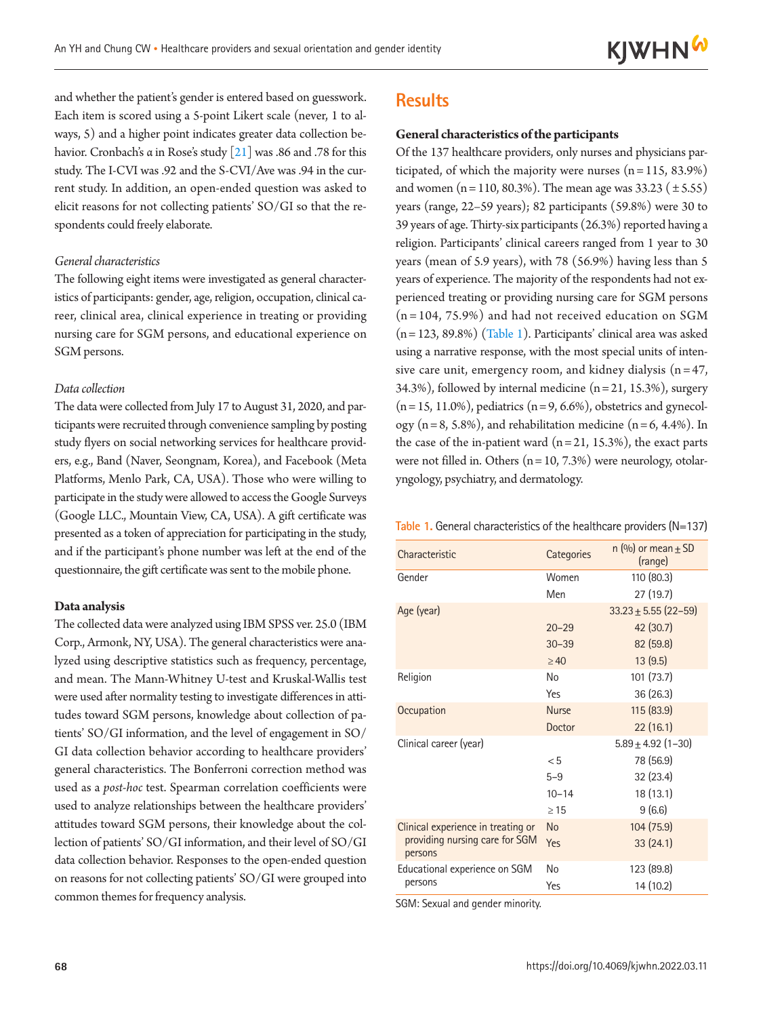and whether the patient's gender is entered based on guesswork. Each item is scored using a 5-point Likert scale (never, 1 to always, 5) and a higher point indicates greater data collection behavior. Cronbach's α in Rose's study [\[2](#page-8-4)1] was .86 and .78 for this study. The I-CVI was .92 and the S-CVI/Ave was .94 in the current study. In addition, an open-ended question was asked to elicit reasons for not collecting patients' SO/GI so that the respondents could freely elaborate.

#### *General characteristics*

The following eight items were investigated as general characteristics of participants: gender, age, religion, occupation, clinical career, clinical area, clinical experience in treating or providing nursing care for SGM persons, and educational experience on SGM persons.

#### *Data collection*

The data were collected from July 17 to August 31, 2020, and participants were recruited through convenience sampling by posting study flyers on social networking services for healthcare providers, e.g., Band (Naver, Seongnam, Korea), and Facebook (Meta Platforms, Menlo Park, CA, USA). Those who were willing to participate in the study were allowed to access the Google Surveys (Google LLC., Mountain View, CA, USA). A gift certificate was presented as a token of appreciation for participating in the study, and if the participant's phone number was left at the end of the questionnaire, the gift certificate was sent to the mobile phone.

#### **Data analysis**

The collected data were analyzed using IBM SPSS ver. 25.0 (IBM Corp., Armonk, NY, USA). The general characteristics were analyzed using descriptive statistics such as frequency, percentage, and mean. The Mann-Whitney U-test and Kruskal-Wallis test were used after normality testing to investigate differences in attitudes toward SGM persons, knowledge about collection of patients' SO/GI information, and the level of engagement in SO/ GI data collection behavior according to healthcare providers' general characteristics. The Bonferroni correction method was used as a *post-hoc* test. Spearman correlation coefficients were used to analyze relationships between the healthcare providers' attitudes toward SGM persons, their knowledge about the collection of patients' SO/GI information, and their level of SO/GI data collection behavior. Responses to the open-ended question on reasons for not collecting patients' SO/GI were grouped into common themes for frequency analysis.

### **Results**

#### **General characteristics of the participants**

Of the 137 healthcare providers, only nurses and physicians participated, of which the majority were nurses  $(n = 115, 83.9%)$ and women (n = 110, 80.3%). The mean age was  $33.23$  ( $\pm$  5.55) years (range, 22–59 years); 82 participants (59.8%) were 30 to 39 years of age. Thirty-six participants (26.3%) reported having a religion. Participants' clinical careers ranged from 1 year to 30 years (mean of 5.9 years), with 78 (56.9%) having less than 5 years of experience. The majority of the respondents had not experienced treating or providing nursing care for SGM persons  $(n = 104, 75.9%)$  and had not received education on SGM  $(n = 123, 89.8%)$  [\(Table 1](#page-3-0)). Participants' clinical area was asked using a narrative response, with the most special units of intensive care unit, emergency room, and kidney dialysis  $(n = 47,$ 34.3%), followed by internal medicine  $(n = 21, 15.3%)$ , surgery  $(n = 15, 11.0\%)$ , pediatrics  $(n = 9, 6.6\%)$ , obstetrics and gynecology ( $n = 8$ , 5.8%), and rehabilitation medicine ( $n = 6$ , 4.4%). In the case of the in-patient ward  $(n=21, 15.3%)$ , the exact parts were not filled in. Others  $(n = 10, 7.3%)$  were neurology, otolaryngology, psychiatry, and dermatology.

<span id="page-3-0"></span>

|  |  | Table 1. General characteristics of the healthcare providers $(N=137)$ |  |  |  |  |  |
|--|--|------------------------------------------------------------------------|--|--|--|--|--|
|--|--|------------------------------------------------------------------------|--|--|--|--|--|

| Characteristic                            | Categories   | $n$ (%) or mean $\pm$ SD<br>(range) |
|-------------------------------------------|--------------|-------------------------------------|
| Gender                                    | Women        | 110 (80.3)                          |
|                                           | Men          | 27(19.7)                            |
| Age (year)                                |              | $33.23 \pm 5.55$ (22-59)            |
|                                           | $20 - 29$    | 42 (30.7)                           |
|                                           | $30 - 39$    | 82 (59.8)                           |
|                                           | $\geq 40$    | 13(9.5)                             |
| Religion                                  | No           | 101 (73.7)                          |
|                                           | Yes          | 36(26.3)                            |
| Occupation                                | <b>Nurse</b> | 115(83.9)                           |
|                                           | Doctor       | 22(16.1)                            |
| Clinical career (year)                    |              | $5.89 \pm 4.92$ (1-30)              |
|                                           | < 5          | 78 (56.9)                           |
|                                           | $5 - 9$      | 32 (23.4)                           |
|                                           | $10 - 14$    | 18 (13.1)                           |
|                                           | $\geq 15$    | 9(6.6)                              |
| Clinical experience in treating or        | <b>No</b>    | 104(75.9)                           |
| providing nursing care for SGM<br>persons | Yes          | 33(24.1)                            |
| Educational experience on SGM             | No           | 123 (89.8)                          |
| persons                                   | Yes          | 14 (10.2)                           |

SGM: Sexual and gender minority.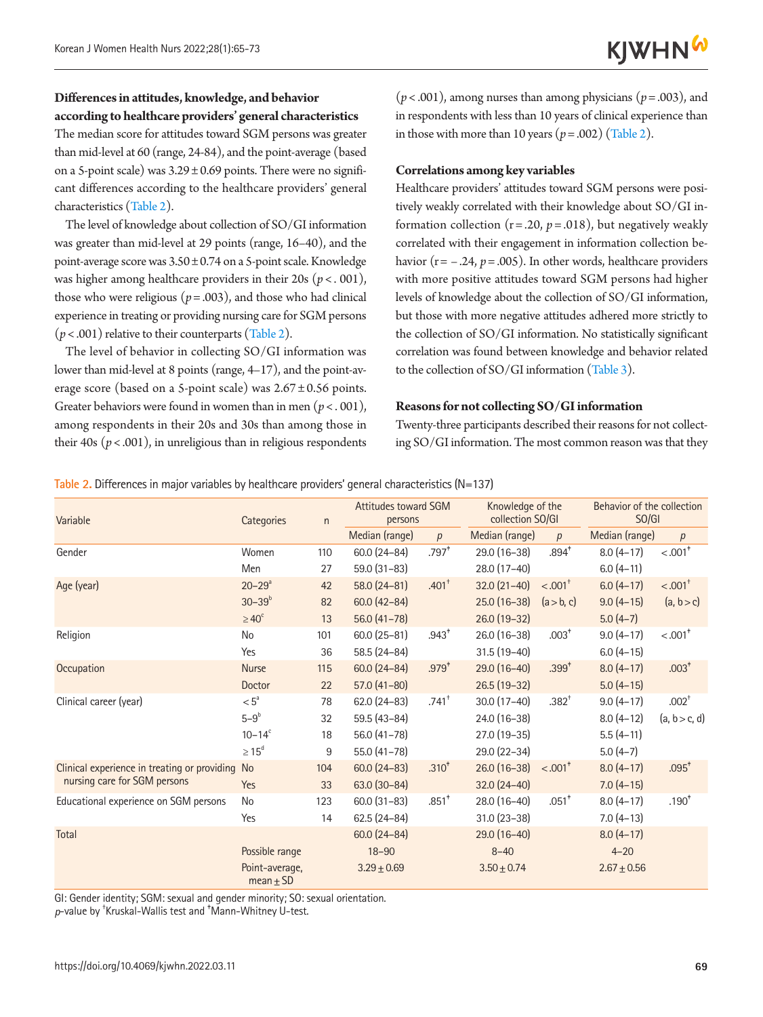#### **Differences in attitudes, knowledge, and behavior according to healthcare providers' general characteristics**

The median score for attitudes toward SGM persons was greater than mid-level at 60 (range, 24-84), and the point-average (based on a 5-point scale) was  $3.29 \pm 0.69$  points. There were no significant differences according to the healthcare providers' general characteristics [\(Table 2\)](#page-4-0).

The level of knowledge about collection of SO/GI information was greater than mid-level at 29 points (range, 16–40), and the point-average score was  $3.50 \pm 0.74$  on a 5-point scale. Knowledge was higher among healthcare providers in their 20s (*p*< . 001), those who were religious ( $p = .003$ ), and those who had clinical experience in treating or providing nursing care for SGM persons  $(p < .001)$  relative to their counterparts [\(Table 2](#page-4-0)).

The level of behavior in collecting SO/GI information was lower than mid-level at 8 points (range, 4–17), and the point-average score (based on a 5-point scale) was  $2.67 \pm 0.56$  points. Greater behaviors were found in women than in men ( $p < .001$ ), among respondents in their 20s and 30s than among those in their 40s ( $p < .001$ ), in unreligious than in religious respondents

 $(p < .001)$ , among nurses than among physicians  $(p = .003)$ , and in respondents with less than 10 years of clinical experience than in those with more than 10 years  $(p=.002)$  [\(Table 2](#page-4-0)).

#### **Correlations among key variables**

Healthcare providers' attitudes toward SGM persons were positively weakly correlated with their knowledge about SO/GI information collection  $(r=.20, p=.018)$ , but negatively weakly correlated with their engagement in information collection behavior ( $r = -.24$ ,  $p = .005$ ). In other words, healthcare providers with more positive attitudes toward SGM persons had higher levels of knowledge about the collection of SO/GI information, but those with more negative attitudes adhered more strictly to the collection of SO/GI information. No statistically significant correlation was found between knowledge and behavior related to the collection of SO/GI information [\(Table 3\)](#page-5-0).

#### **Reasons for not collecting SO/GI information**

Twenty-three participants described their reasons for not collecting SO/GI information. The most common reason was that they

#### <span id="page-4-0"></span>**Table 2.** Differences in major variables by healthcare providers' general characteristics (N=137)

| Variable                                        | Categories                      | $\mathsf{n}$ | <b>Attitudes toward SGM</b><br>persons |                     | Knowledge of the<br>collection SO/GI |                       | Behavior of the collection<br>SO/GI |                       |
|-------------------------------------------------|---------------------------------|--------------|----------------------------------------|---------------------|--------------------------------------|-----------------------|-------------------------------------|-----------------------|
|                                                 |                                 |              | Median (range)                         | p                   | Median (range)                       | p                     | Median (range)                      | p                     |
| Gender                                          | Women                           | 110          | $60.0(24 - 84)$                        | $.797*$             | $29.0(16-38)$                        | $.894*$               | $8.0(4-17)$                         | $< .001$ <sup>+</sup> |
|                                                 | Men                             | 27           | $59.0(31-83)$                          |                     | $28.0(17-40)$                        |                       | $6.0(4-11)$                         |                       |
| Age (year)                                      | $20 - 29^a$                     | 42           | $58.0(24-81)$                          | $.401+$             | $32.0(21-40)$                        | $< .001$ <sup>+</sup> | $6.0(4-17)$                         | $< .001$ <sup>+</sup> |
|                                                 | $30 - 39^{b}$                   | 82           | $60.0(42 - 84)$                        |                     | $25.0(16-38)$                        | (a > b, c)            | $9.0(4-15)$                         | (a, b > c)            |
|                                                 | $\geq 40^\circ$                 | 13           | $56.0(41-78)$                          |                     | $26.0(19-32)$                        |                       | $5.0(4-7)$                          |                       |
| Religion                                        | No                              | 101          | $60.0(25-81)$                          | $.943*$             | 26.0 (16-38)                         | $.003+$               | $9.0(4-17)$                         | $< .001$ <sup>*</sup> |
|                                                 | Yes                             | 36           | 58.5 (24-84)                           |                     | $31.5(19-40)$                        |                       | $6.0(4-15)$                         |                       |
| Occupation                                      | <b>Nurse</b>                    | 115          | $60.0(24 - 84)$                        | $.979^{+}$          | $29.0(16-40)$                        | $.399^{+}$            | $8.0(4-17)$                         | $.003*$               |
|                                                 | Doctor                          | 22           | $57.0(41-80)$                          |                     | $26.5(19-32)$                        |                       | $5.0(4-15)$                         |                       |
| Clinical career (year)                          | $< 5^{\circ}$                   | 78           | $62.0(24-83)$                          | $.741$ <sup>+</sup> | $30.0(17-40)$                        | $.382+$               | $9.0(4-17)$                         | $.002+$               |
|                                                 | $5-9^b$                         | 32           | $59.5(43-84)$                          |                     | 24.0 (16-38)                         |                       | $8.0(4-12)$                         | (a, b > c, d)         |
|                                                 | $10 - 14^c$                     | 18           | $56.0(41-78)$                          |                     | $27.0(19-35)$                        |                       | $5.5(4-11)$                         |                       |
|                                                 | $\geq 15^d$                     | 9            | 55.0 (41-78)                           |                     | 29.0 (22-34)                         |                       | $5.0(4-7)$                          |                       |
| Clinical experience in treating or providing No |                                 | 104          | $60.0(24-83)$                          | .310 <sup>†</sup>   | $26.0(16-38)$                        | $< .001$ <sup>*</sup> | $8.0(4-17)$                         | $.095*$               |
| nursing care for SGM persons                    | Yes                             | 33           | $63.0(30-84)$                          |                     | $32.0(24-40)$                        |                       | $7.0(4-15)$                         |                       |
| Educational experience on SGM persons           | No                              | 123          | $60.0(31-83)$                          | $.851*$             | 28.0 (16-40)                         | $.051$ <sup>*</sup>   | $8.0(4-17)$                         | $.190*$               |
|                                                 | Yes                             | 14           | $62.5(24-84)$                          |                     | $31.0(23-38)$                        |                       | $7.0(4-13)$                         |                       |
| Total                                           |                                 |              | $60.0(24 - 84)$                        |                     | $29.0(16-40)$                        |                       | $8.0(4-17)$                         |                       |
|                                                 | Possible range                  |              | $18 - 90$                              |                     | $8 - 40$                             |                       | $4 - 20$                            |                       |
|                                                 | Point-average,<br>mean $\pm$ SD |              | $3.29 + 0.69$                          |                     | $3.50 \pm 0.74$                      |                       | $2.67 \pm 0.56$                     |                       |

GI: Gender identity; SGM: sexual and gender minority; SO: sexual orientation.

p-value by <sup>+</sup>Kruskal-Wallis test and <sup>+</sup>Mann-Whitney U-test.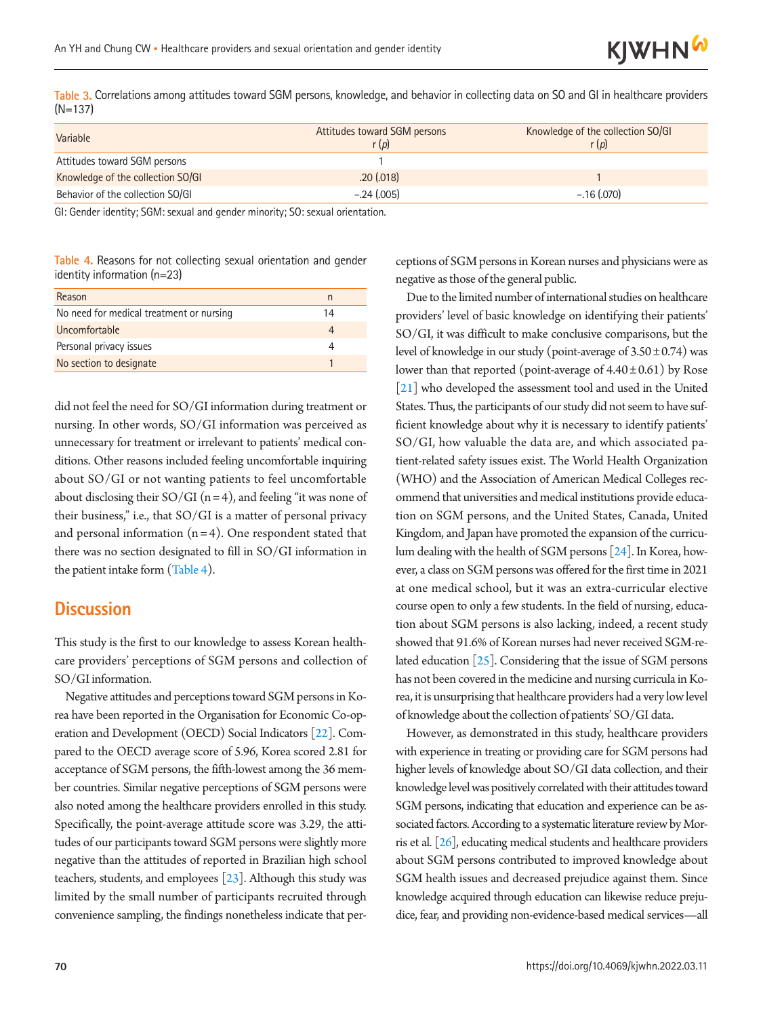

<span id="page-5-0"></span>**Table 3.** Correlations among attitudes toward SGM persons, knowledge, and behavior in collecting data on SO and GI in healthcare providers (N=137)

| Variable                          | Attitudes toward SGM persons<br>r(p) | Knowledge of the collection SO/GI<br>r(p) |
|-----------------------------------|--------------------------------------|-------------------------------------------|
| Attitudes toward SGM persons      |                                      |                                           |
| Knowledge of the collection SO/GI | .20(0.018)                           |                                           |
| Behavior of the collection SO/GI  | $-.24(.005)$                         | $-.16(.070)$                              |

GI: Gender identity; SGM: sexual and gender minority; SO: sexual orientation.

<span id="page-5-1"></span>**Table 4.** Reasons for not collecting sexual orientation and gender identity information (n=23)

| Reason                                   | n  |
|------------------------------------------|----|
| No need for medical treatment or nursing | 14 |
| Uncomfortable                            |    |
| Personal privacy issues                  |    |
| No section to designate                  |    |

did not feel the need for SO/GI information during treatment or nursing. In other words, SO/GI information was perceived as unnecessary for treatment or irrelevant to patients' medical conditions. Other reasons included feeling uncomfortable inquiring about SO/GI or not wanting patients to feel uncomfortable about disclosing their  $SO/GI$  (n = 4), and feeling "it was none of their business," i.e., that SO/GI is a matter of personal privacy and personal information  $(n = 4)$ . One respondent stated that there was no section designated to fill in SO/GI information in the patient intake form [\(Table 4\)](#page-5-1).

### **Discussion**

This study is the first to our knowledge to assess Korean healthcare providers' perceptions of SGM persons and collection of SO/GI information.

Negative attitudes and perceptions toward SGM persons in Korea have been reported in the Organisation for Economic Co-operation and Development (OECD) Social Indicators [\[22\]](#page-8-7). Compared to the OECD average score of 5.96, Korea scored 2.81 for acceptance of SGM persons, the fifth-lowest among the 36 member countries. Similar negative perceptions of SGM persons were also noted among the healthcare providers enrolled in this study. Specifically, the point-average attitude score was 3.29, the attitudes of our participants toward SGM persons were slightly more negative than the attitudes of reported in Brazilian high school teachers, students, and employees [\[23](#page-8-8)]. Although this study was limited by the small number of participants recruited through convenience sampling, the findings nonetheless indicate that perceptions of SGM persons in Korean nurses and physicians were as negative as those of the general public.

Due to the limited number of international studies on healthcare providers' level of basic knowledge on identifying their patients' SO/GI, it was difficult to make conclusive comparisons, but the level of knowledge in our study (point-average of  $3.50 \pm 0.74$ ) was lower than that reported (point-average of  $4.40 \pm 0.61$ ) by Rose [\[21](#page-8-6)] who developed the assessment tool and used in the United States. Thus, the participants of our study did not seem to have sufficient knowledge about why it is necessary to identify patients' SO/GI, how valuable the data are, and which associated patient-related safety issues exist. The World Health Organization (WHO) and the Association of American Medical Colleges recommend that universities and medical institutions provide education on SGM persons, and the United States, Canada, United Kingdom, and Japan have promoted the expansion of the curriculum dealing with the health of SGM persons [\[24](#page-8-9)]. In Korea, however, a class on SGM persons was offered for the first time in 2021 at one medical school, but it was an extra-curricular elective course open to only a few students. In the field of nursing, education about SGM persons is also lacking, indeed, a recent study showed that 91.6% of Korean nurses had never received SGM-related education  $[25]$  $[25]$ . Considering that the issue of SGM persons has not been covered in the medicine and nursing curricula in Korea, it is unsurprising that healthcare providers had a very low level of knowledge about the collection of patients' SO/GI data.

However, as demonstrated in this study, healthcare providers with experience in treating or providing care for SGM persons had higher levels of knowledge about SO/GI data collection, and their knowledge level was positively correlated with their attitudes toward SGM persons, indicating that education and experience can be associated factors. According to a systematic literature review by Morris et al. [\[26](#page-8-11)], educating medical students and healthcare providers about SGM persons contributed to improved knowledge about SGM health issues and decreased prejudice against them. Since knowledge acquired through education can likewise reduce prejudice, fear, and providing non-evidence-based medical services—all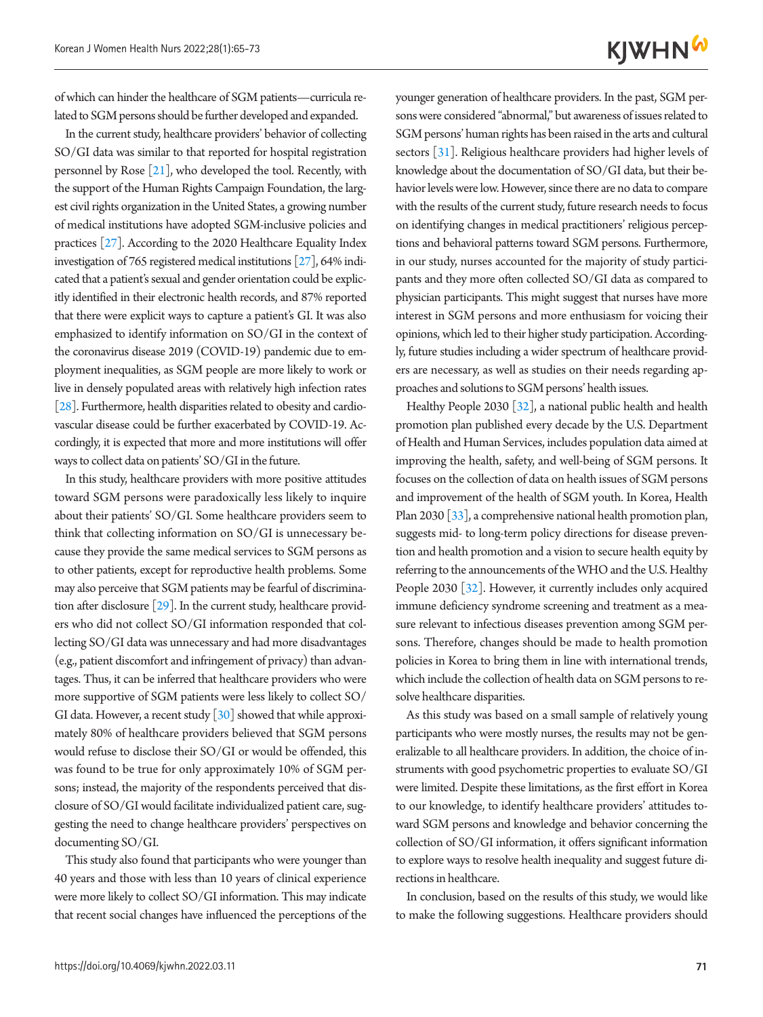of which can hinder the healthcare of SGM patients—curricula related to SGM persons should be further developed and expanded.

In the current study, healthcare providers' behavior of collecting SO/GI data was similar to that reported for hospital registration personnel by Rose [\[21](#page-8-6)], who developed the tool. Recently, with the support of the Human Rights Campaign Foundation, the largest civil rights organization in the United States, a growing number of medical institutions have adopted SGM-inclusive policies and practices [\[27](#page-8-12)]. According to the 2020 Healthcare Equality Index investigation of 765 registered medical institutions [\[27\]](#page-8-12), 64% indicated that a patient's sexual and gender orientation could be explicitly identified in their electronic health records, and 87% reported that there were explicit ways to capture a patient's GI. It was also emphasized to identify information on SO/GI in the context of the coronavirus disease 2019 (COVID-19) pandemic due to employment inequalities, as SGM people are more likely to work or live in densely populated areas with relatively high infection rates [\[28\]](#page-8-13). Furthermore, health disparities related to obesity and cardiovascular disease could be further exacerbated by COVID-19. Accordingly, it is expected that more and more institutions will offer ways to collect data on patients' SO/GI in the future.

In this study, healthcare providers with more positive attitudes toward SGM persons were paradoxically less likely to inquire about their patients' SO/GI. Some healthcare providers seem to think that collecting information on SO/GI is unnecessary because they provide the same medical services to SGM persons as to other patients, except for reproductive health problems. Some may also perceive that SGM patients may be fearful of discrimination after disclosure [\[29](#page-8-14)]. In the current study, healthcare providers who did not collect SO/GI information responded that collecting SO/GI data was unnecessary and had more disadvantages (e.g., patient discomfort and infringement of privacy) than advantages. Thus, it can be inferred that healthcare providers who were more supportive of SGM patients were less likely to collect SO/ GI data. However, a recent study [\[30](#page-8-15)] showed that while approximately 80% of healthcare providers believed that SGM persons would refuse to disclose their SO/GI or would be offended, this was found to be true for only approximately 10% of SGM persons; instead, the majority of the respondents perceived that disclosure of SO/GI would facilitate individualized patient care, suggesting the need to change healthcare providers' perspectives on documenting SO/GI.

This study also found that participants who were younger than 40 years and those with less than 10 years of clinical experience were more likely to collect SO/GI information. This may indicate that recent social changes have influenced the perceptions of the

**KJWHN<sup>W</sup>** younger generation of healthcare providers. In the past, SGM persons were considered "abnormal," but awareness of issues related to SGM persons' human rights has been raised in the arts and cultural

sectors [\[31](#page-8-16)]. Religious healthcare providers had higher levels of knowledge about the documentation of SO/GI data, but their behavior levels were low. However, since there are no data to compare with the results of the current study, future research needs to focus on identifying changes in medical practitioners' religious perceptions and behavioral patterns toward SGM persons. Furthermore, in our study, nurses accounted for the majority of study participants and they more often collected SO/GI data as compared to physician participants. This might suggest that nurses have more interest in SGM persons and more enthusiasm for voicing their opinions, which led to their higher study participation. Accordingly, future studies including a wider spectrum of healthcare providers are necessary, as well as studies on their needs regarding approaches and solutions to SGM persons' health issues.

Healthy People 2030 [\[32](#page-8-17)], a national public health and health promotion plan published every decade by the U.S. Department of Health and Human Services, includes population data aimed at improving the health, safety, and well-being of SGM persons. It focuses on the collection of data on health issues of SGM persons and improvement of the health of SGM youth. In Korea, Health Plan 2030 [\[33](#page-8-18)], a comprehensive national health promotion plan, suggests mid- to long-term policy directions for disease prevention and health promotion and a vision to secure health equity by referring to the announcements of the WHO and the U.S. Healthy People 2030 [\[32](#page-8-17)]. However, it currently includes only acquired immune deficiency syndrome screening and treatment as a measure relevant to infectious diseases prevention among SGM persons. Therefore, changes should be made to health promotion policies in Korea to bring them in line with international trends, which include the collection of health data on SGM persons to resolve healthcare disparities.

As this study was based on a small sample of relatively young participants who were mostly nurses, the results may not be generalizable to all healthcare providers. In addition, the choice of instruments with good psychometric properties to evaluate SO/GI were limited. Despite these limitations, as the first effort in Korea to our knowledge, to identify healthcare providers' attitudes toward SGM persons and knowledge and behavior concerning the collection of SO/GI information, it offers significant information to explore ways to resolve health inequality and suggest future directions in healthcare.

In conclusion, based on the results of this study, we would like to make the following suggestions. Healthcare providers should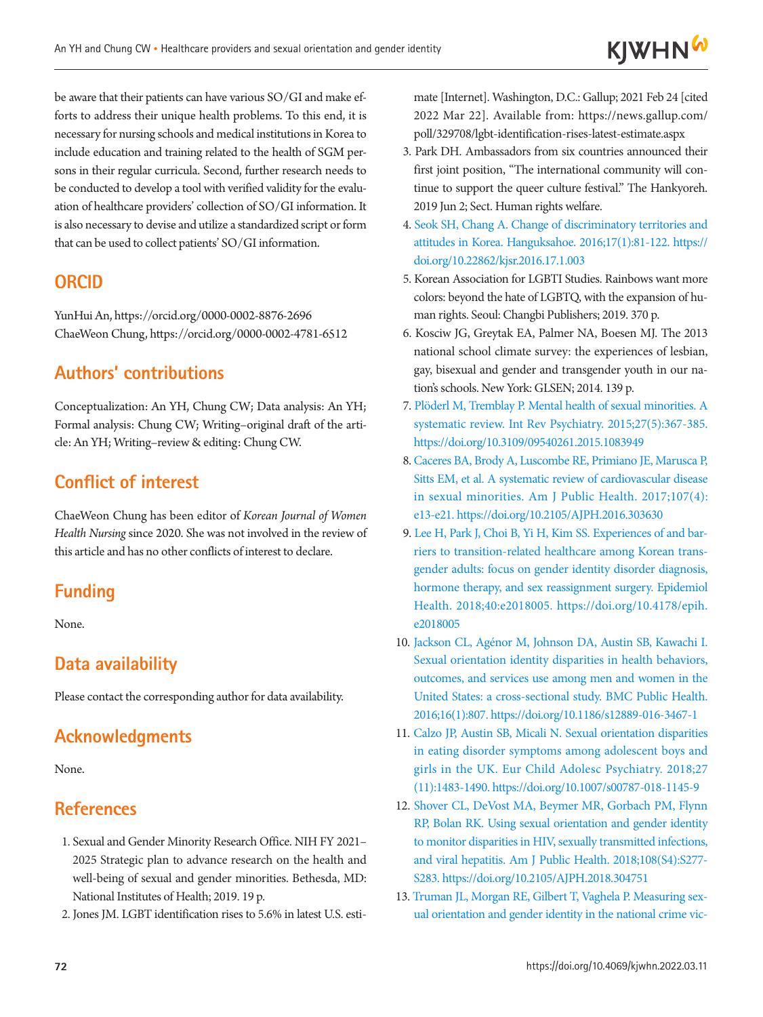be aware that their patients can have various SO/GI and make efforts to address their unique health problems. To this end, it is necessary for nursing schools and medical institutions in Korea to include education and training related to the health of SGM persons in their regular curricula. Second, further research needs to be conducted to develop a tool with verified validity for the evaluation of healthcare providers' collection of SO/GI information. It is also necessary to devise and utilize a standardized script or form that can be used to collect patients' SO/GI information.

# **ORCID**

YunHui An, https://orcid.org/0000-0002-8876-2696 ChaeWeon Chung, https://orcid.org/0000-0002-4781-6512

# **Authors' contributions**

Conceptualization: An YH, Chung CW; Data analysis: An YH; Formal analysis: Chung CW; Writing–original draft of the article: An YH; Writing–review & editing: Chung CW.

# **Conflict of interest**

ChaeWeon Chung has been editor of *Korean Journal of Women Health Nursing* since 2020. She was not involved in the review of this article and has no other conflicts of interest to declare.

# **Funding**

None.

# **Data availability**

Please contact the corresponding author for data availability.

# **Acknowledgments**

None.

### **References**

- <span id="page-7-0"></span>1. Sexual and Gender Minority Research Office. NIH FY 2021– 2025 Strategic plan to advance research on the health and well-being of sexual and gender minorities. Bethesda, MD: National Institutes of Health; 2019. 19 p.
- <span id="page-7-1"></span>2. Jones JM. LGBT identification rises to 5.6% in latest U.S. esti-

mate [Internet]. Washington, D.C.: Gallup; 2021 Feb 24 [cited 2022 Mar 22]. Available from: https://news.gallup.com/ poll/329708/lgbt-identification-rises-latest-estimate.aspx

- <span id="page-7-2"></span>3. Park DH. Ambassadors from six countries announced their first joint position, "The international community will continue to support the queer culture festival." The Hankyoreh. 2019 Jun 2; Sect. Human rights welfare.
- <span id="page-7-3"></span>[4. Seok SH, Chang A. Change of discriminatory territories and](https://doi.org/10.22862/kjsr.2016.17.1.003)  [attitudes in Korea. Hanguksahoe. 2016;17\(1\):81-122. https://](https://doi.org/10.22862/kjsr.2016.17.1.003) [doi.org/10.22862/kjsr.2016.17.1.003](https://doi.org/10.22862/kjsr.2016.17.1.003)
- <span id="page-7-4"></span>5. Korean Association for LGBTI Studies. Rainbows want more colors: beyond the hate of LGBTQ, with the expansion of human rights. Seoul: Changbi Publishers; 2019. 370 p.
- <span id="page-7-5"></span>6. Kosciw JG, Greytak EA, Palmer NA, Boesen MJ. The 2013 national school climate survey: the experiences of lesbian, gay, bisexual and gender and transgender youth in our nation's schools. New York: GLSEN; 2014. 139 p.
- <span id="page-7-6"></span>[7. Plöderl M, Tremblay P. Mental health of sexual minorities. A](https://doi.org/10.3109/09540261.2015.1083949)  [systematic review. Int Rev Psychiatry. 2015;27\(5\):367-385.](https://doi.org/10.3109/09540261.2015.1083949)  <https://doi.org/10.3109/09540261.2015.1083949>
- <span id="page-7-7"></span>[8. Caceres BA, Brody A, Luscombe RE, Primiano JE, Marusca P,](https://doi.org/10.2105/AJPH.2016.303630)  [Sitts EM, et al. A systematic review of cardiovascular disease](https://doi.org/10.2105/AJPH.2016.303630)  [in sexual minorities. Am J Public Health. 2017;107\(4\):](https://doi.org/10.2105/AJPH.2016.303630) [e13-e21. https://doi.org/10.2105/AJPH.2016.303630](https://doi.org/10.2105/AJPH.2016.303630)
- <span id="page-7-8"></span>[9. Lee H, Park J, Choi B, Yi H, Kim SS. Experiences of and bar](https://doi.org/10.4178/epih.e2018005)[riers to transition-related healthcare among Korean trans](https://doi.org/10.4178/epih.e2018005)[gender adults: focus on gender identity disorder diagnosis,](https://doi.org/10.4178/epih.e2018005)  [hormone therapy, and sex reassignment surgery. Epidemio](https://doi.org/10.4178/epih.e2018005)l Health. 2018;40:e2018005. https://doi.org/10.4178/epih. e2018005
- <span id="page-7-9"></span>1[0. Jackson CL, Agénor M, Johnson DA, Austin SB, Kawachi I.](https://doi.org/10.1186/s12889-016-3467-1)  [Sexual orientation identity disparities in health behaviors,](https://doi.org/10.1186/s12889-016-3467-1)  [outcomes, and services use among men and women in the](https://doi.org/10.1186/s12889-016-3467-1)  [United States: a cross-sectional study. BMC Public Health](https://doi.org/10.1186/s12889-016-3467-1). 2016;16(1):807. https://doi.org/10.1186/s12889-016-3467-1
- <span id="page-7-10"></span>1[1. Calzo JP, Austin SB, Micali N. Sexual orientation disparities](https://doi.org/10.1007/s00787-018-1145-9)  [in eating disorder symptoms among adolescent boys and](https://doi.org/10.1007/s00787-018-1145-9)  [girls in the UK. Eur Child Adolesc Psychiatry. 2018;27](https://doi.org/10.1007/s00787-018-1145-9) [\(11\):1483-1490. https://doi.org/10.1007/s00787-018-1145-9](https://doi.org/10.1007/s00787-018-1145-9)
- <span id="page-7-11"></span>1[2. Shover CL, DeVost MA, Beymer MR, Gorbach PM, Flynn](https://doi.org/10.2105/AJPH.2018.304751)  [RP, Bolan RK. Using sexual orientation and gender identity](https://doi.org/10.2105/AJPH.2018.304751)  [to monitor disparities in HIV, sexually transmitted infections,](https://doi.org/10.2105/AJPH.2018.304751)  [and viral hepatitis. Am J Public Health. 2018;108\(S4\):S277](https://doi.org/10.2105/AJPH.2018.304751)- S283. https://doi.org/10.2105/AJPH.2018.304751
- <span id="page-7-12"></span>13. [Truman JL, Morgan RE, Gilbert T, Vaghela P. Measuring sex](https://doi.org/10.2478/JOS-2019-0035)[ual orientation and gender identity in the national crime vic-](https://doi.org/10.2478/JOS-2019-0035)